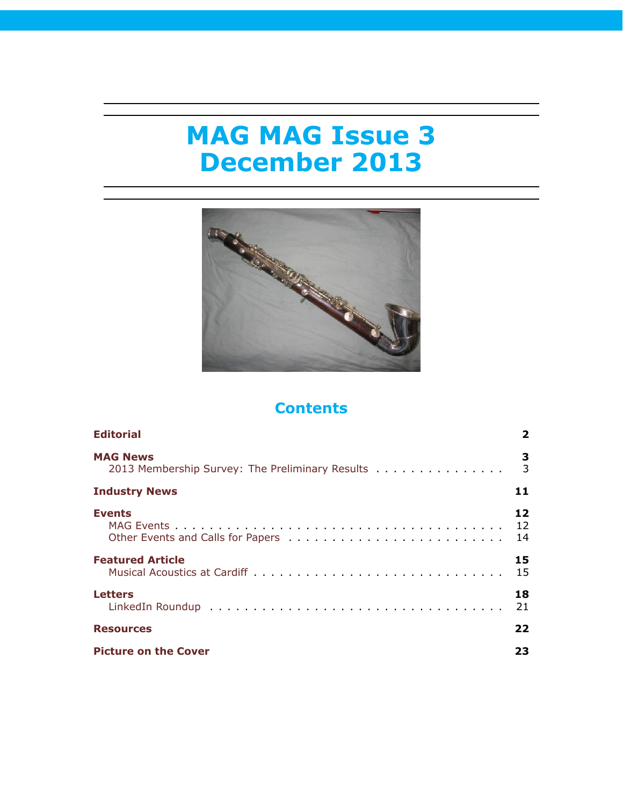# **MAG MAG Issue 3 December 2013**



# **Contents**

| <b>Editorial</b>                                | 2   |
|-------------------------------------------------|-----|
| <b>MAG News</b>                                 | 3   |
| 2013 Membership Survey: The Preliminary Results | 3   |
| <b>Industry News</b>                            | 11  |
| <b>Events</b>                                   | 12  |
|                                                 | 12  |
|                                                 | 14  |
| <b>Featured Article</b>                         | 15  |
|                                                 | 15  |
| <b>Letters</b>                                  | 18  |
|                                                 | 21  |
| <b>Resources</b>                                | 22  |
| <b>Picture on the Cover</b>                     | 23. |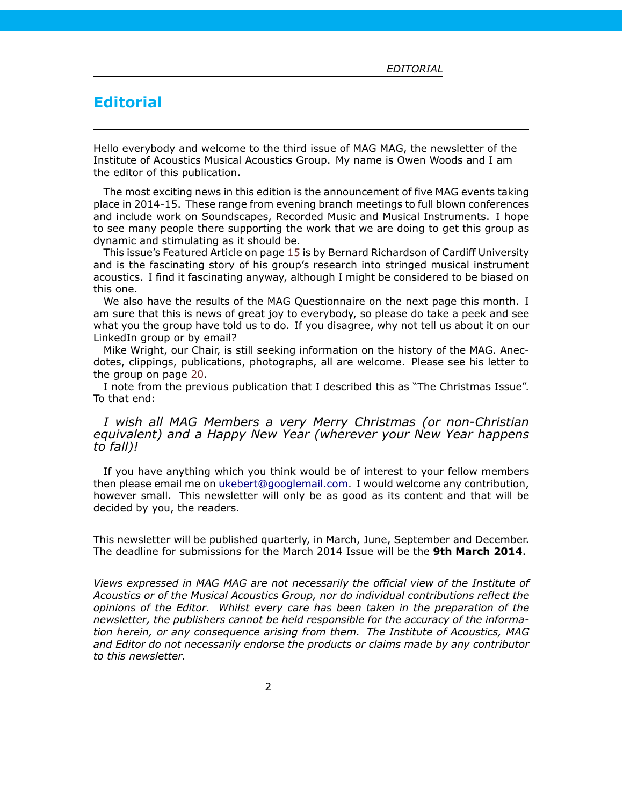# <span id="page-1-0"></span>**Editorial**

Hello everybody and welcome to the third issue of MAG MAG, the newsletter of the Institute of Acoustics Musical Acoustics Group. My name is Owen Woods and I am the editor of this publication.

The most exciting news in this edition is the announcement of five MAG events taking place in 2014-15. These range from evening branch meetings to full blown conferences and include work on Soundscapes, Recorded Music and Musical Instruments. I hope to see many people there supporting the work that we are doing to get this group as dynamic and stimulating as it should be.

This issue's Featured Article on page [15](#page-14-1) is by Bernard Richardson of Cardiff University and is the fascinating story of his group's research into stringed musical instrument acoustics. I find it fascinating anyway, although I might be considered to be biased on this one.

We also have the results of the MAG Questionnaire on the next page this month. I am sure that this is news of great joy to everybody, so please do take a peek and see what you the group have told us to do. If you disagree, why not tell us about it on our LinkedIn group or by email?

Mike Wright, our Chair, is still seeking information on the history of the MAG. Anecdotes, clippings, publications, photographs, all are welcome. Please see his letter to the group on page [20](#page-17-0).

I note from the previous publication that I described this as "The Christmas Issue". To that end:

## *I wish all MAG Members a very Merry Christmas (or non-Christian equivalent) and a Happy New Year (wherever your New Year happens to fall)!*

If you have anything which you think would be of interest to your fellow members then please email me on [ukebert@googlemail.com](mailto:ukebert@googlemail.com). I would welcome any contribution, however small. This newsletter will only be as good as its content and that will be decided by you, the readers.

This newsletter will be published quarterly, in March, June, September and December. The deadline for submissions for the March 2014 Issue will be the **9th March 2014**.

*Views expressed in MAG MAG are not necessarily the official view of the Institute of Acoustics or of the Musical Acoustics Group, nor do individual contributions reflect the opinions of the Editor. Whilst every care has been taken in the preparation of the newsletter, the publishers cannot be held responsible for the accuracy of the information herein, or any consequence arising from them. The Institute of Acoustics, MAG and Editor do not necessarily endorse the products or claims made by any contributor to this newsletter.*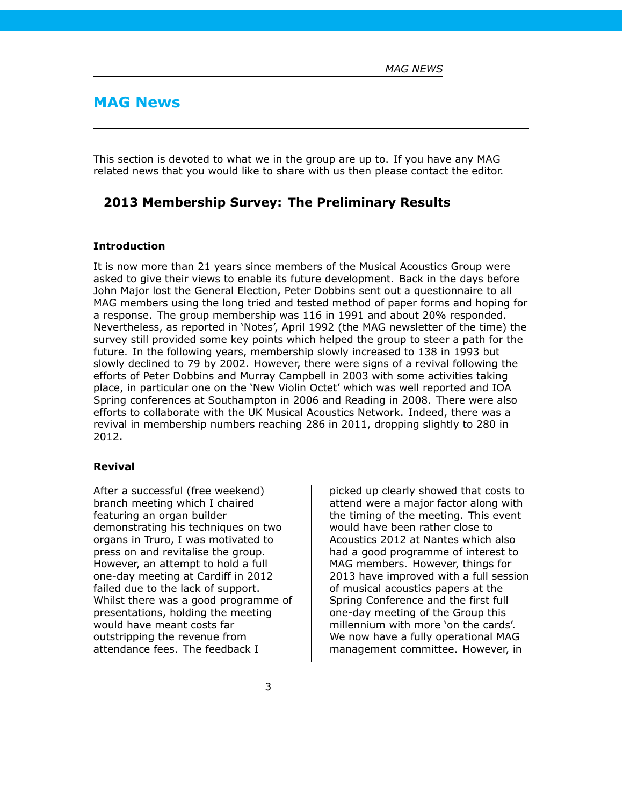# <span id="page-2-0"></span>**MAG News**

This section is devoted to what we in the group are up to. If you have any MAG related news that you would like to share with us then please contact the editor.

## <span id="page-2-1"></span>**2013 Membership Survey: The Preliminary Results**

## **Introduction**

It is now more than 21 years since members of the Musical Acoustics Group were asked to give their views to enable its future development. Back in the days before John Major lost the General Election, Peter Dobbins sent out a questionnaire to all MAG members using the long tried and tested method of paper forms and hoping for a response. The group membership was 116 in 1991 and about 20% responded. Nevertheless, as reported in 'Notes', April 1992 (the MAG newsletter of the time) the survey still provided some key points which helped the group to steer a path for the future. In the following years, membership slowly increased to 138 in 1993 but slowly declined to 79 by 2002. However, there were signs of a revival following the efforts of Peter Dobbins and Murray Campbell in 2003 with some activities taking place, in particular one on the 'New Violin Octet' which was well reported and IOA Spring conferences at Southampton in 2006 and Reading in 2008. There were also efforts to collaborate with the UK Musical Acoustics Network. Indeed, there was a revival in membership numbers reaching 286 in 2011, dropping slightly to 280 in 2012.

#### **Revival**

After a successful (free weekend) branch meeting which I chaired featuring an organ builder demonstrating his techniques on two organs in Truro, I was motivated to press on and revitalise the group. However, an attempt to hold a full one-day meeting at Cardiff in 2012 failed due to the lack of support. Whilst there was a good programme of presentations, holding the meeting would have meant costs far outstripping the revenue from attendance fees. The feedback I

picked up clearly showed that costs to attend were a major factor along with the timing of the meeting. This event would have been rather close to Acoustics 2012 at Nantes which also had a good programme of interest to MAG members. However, things for 2013 have improved with a full session of musical acoustics papers at the Spring Conference and the first full one-day meeting of the Group this millennium with more 'on the cards'. We now have a fully operational MAG management committee. However, in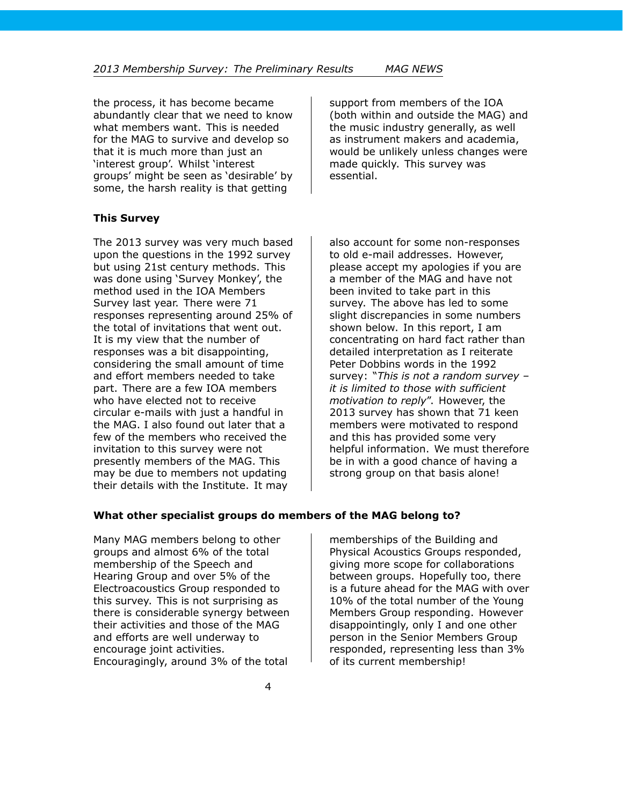the process, it has become became abundantly clear that we need to know what members want. This is needed for the MAG to survive and develop so that it is much more than just an 'interest group'. Whilst 'interest groups' might be seen as 'desirable' by some, the harsh reality is that getting

**This Survey**

The 2013 survey was very much based upon the questions in the 1992 survey but using 21st century methods. This was done using 'Survey Monkey', the method used in the IOA Members Survey last year. There were 71 responses representing around 25% of the total of invitations that went out. It is my view that the number of responses was a bit disappointing, considering the small amount of time and effort members needed to take part. There are a few IOA members who have elected not to receive circular e-mails with just a handful in the MAG. I also found out later that a few of the members who received the invitation to this survey were not presently members of the MAG. This may be due to members not updating their details with the Institute. It may

support from members of the IOA (both within and outside the MAG) and the music industry generally, as well as instrument makers and academia, would be unlikely unless changes were made quickly. This survey was essential.

also account for some non-responses to old e-mail addresses. However, please accept my apologies if you are a member of the MAG and have not been invited to take part in this survey. The above has led to some slight discrepancies in some numbers shown below. In this report, I am concentrating on hard fact rather than detailed interpretation as I reiterate Peter Dobbins words in the 1992 survey: "*This is not a random survey – it is limited to those with sufficient motivation to reply*". However, the 2013 survey has shown that 71 keen members were motivated to respond and this has provided some very helpful information. We must therefore be in with a good chance of having a strong group on that basis alone!

## **What other specialist groups do members of the MAG belong to?**

Many MAG members belong to other groups and almost 6% of the total membership of the Speech and Hearing Group and over 5% of the Electroacoustics Group responded to this survey. This is not surprising as there is considerable synergy between their activities and those of the MAG and efforts are well underway to encourage joint activities. Encouragingly, around 3% of the total

memberships of the Building and Physical Acoustics Groups responded, giving more scope for collaborations between groups. Hopefully too, there is a future ahead for the MAG with over 10% of the total number of the Young Members Group responding. However disappointingly, only I and one other person in the Senior Members Group responded, representing less than 3% of its current membership!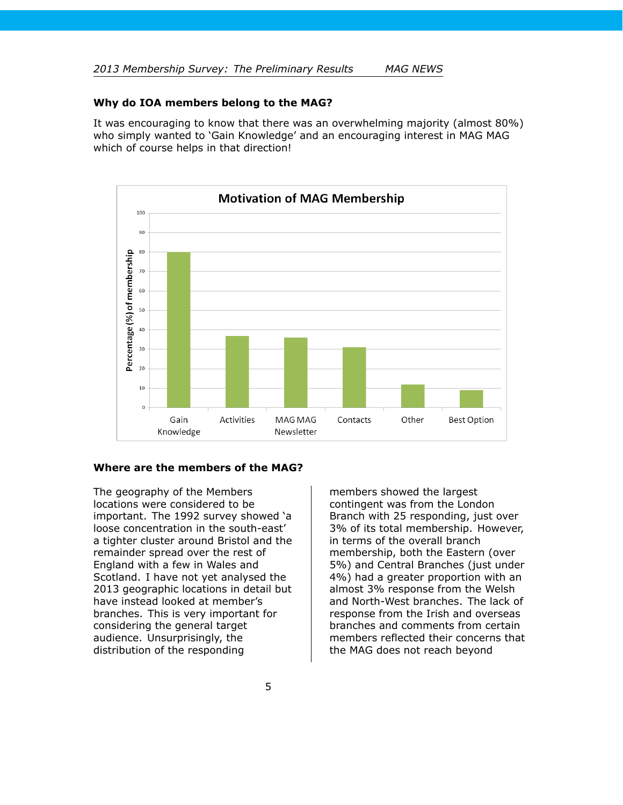### **Why do IOA members belong to the MAG?**

It was encouraging to know that there was an overwhelming majority (almost 80%) who simply wanted to 'Gain Knowledge' and an encouraging interest in MAG MAG which of course helps in that direction!



#### **Where are the members of the MAG?**

The geography of the Members locations were considered to be important. The 1992 survey showed 'a loose concentration in the south-east' a tighter cluster around Bristol and the remainder spread over the rest of England with a few in Wales and Scotland. I have not yet analysed the 2013 geographic locations in detail but have instead looked at member's branches. This is very important for considering the general target audience. Unsurprisingly, the distribution of the responding

members showed the largest contingent was from the London Branch with 25 responding, just over 3% of its total membership. However, in terms of the overall branch membership, both the Eastern (over 5%) and Central Branches (just under 4%) had a greater proportion with an almost 3% response from the Welsh and North-West branches. The lack of response from the Irish and overseas branches and comments from certain members reflected their concerns that the MAG does not reach beyond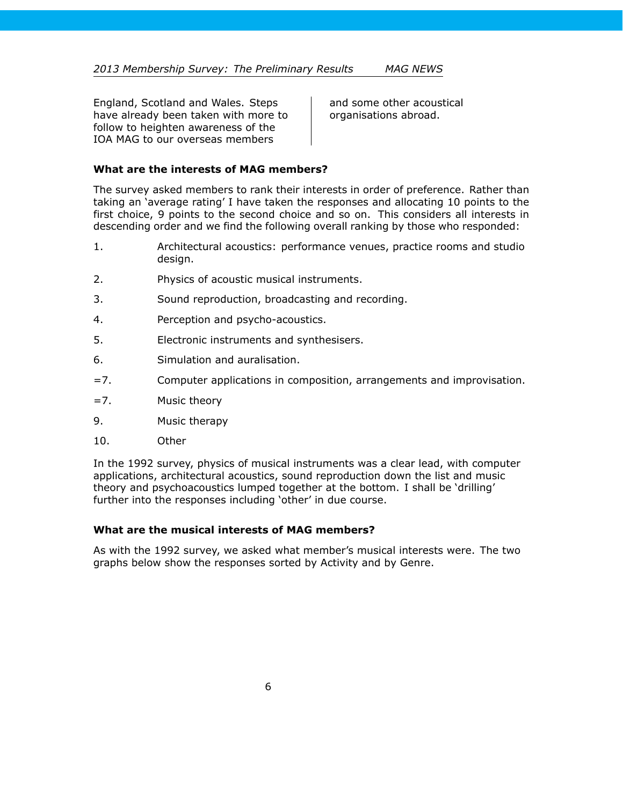England, Scotland and Wales. Steps have already been taken with more to follow to heighten awareness of the IOA MAG to our overseas members

and some other acoustical organisations abroad.

## **What are the interests of MAG members?**

The survey asked members to rank their interests in order of preference. Rather than taking an 'average rating' I have taken the responses and allocating 10 points to the first choice, 9 points to the second choice and so on. This considers all interests in descending order and we find the following overall ranking by those who responded:

- 1. Architectural acoustics: performance venues, practice rooms and studio design.
- 2. Physics of acoustic musical instruments.
- 3. Sound reproduction, broadcasting and recording.
- 4. Perception and psycho-acoustics.
- 5. Electronic instruments and synthesisers.
- 6. Simulation and auralisation.
- =7. Computer applications in composition, arrangements and improvisation.
- =7. Music theory
- 9. Music therapy
- 10. Other

In the 1992 survey, physics of musical instruments was a clear lead, with computer applications, architectural acoustics, sound reproduction down the list and music theory and psychoacoustics lumped together at the bottom. I shall be 'drilling' further into the responses including 'other' in due course.

## **What are the musical interests of MAG members?**

As with the 1992 survey, we asked what member's musical interests were. The two graphs below show the responses sorted by Activity and by Genre.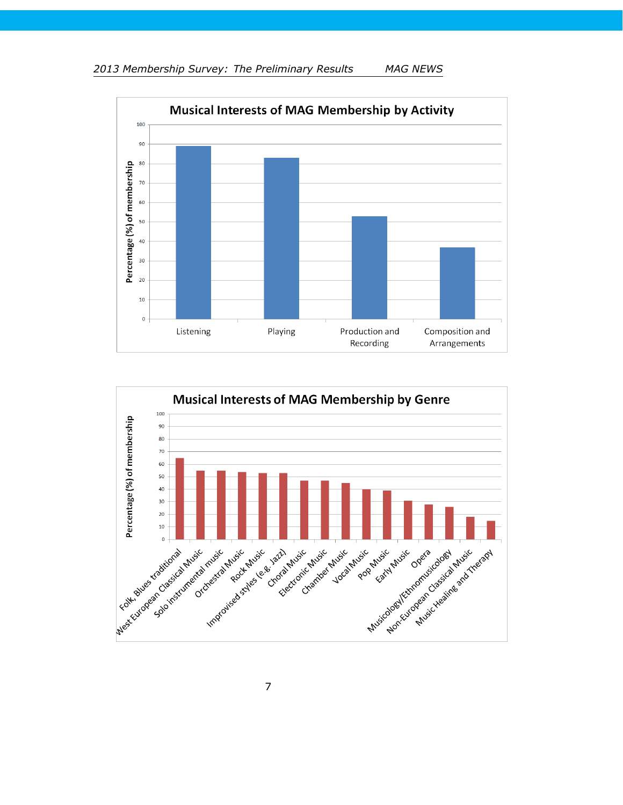



7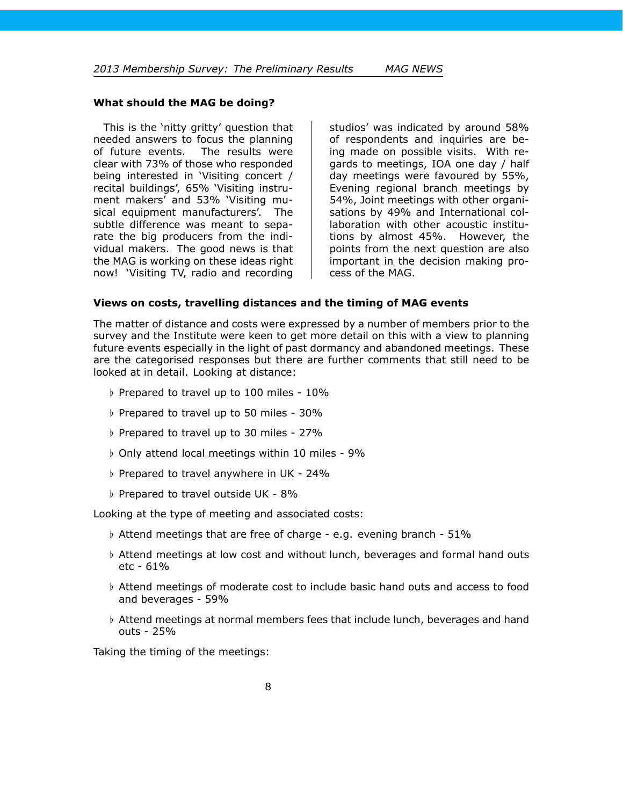### **What should the MAG be doing?**

This is the 'nitty gritty' question that needed answers to focus the planning of future events. The results were clear with 73% of those who responded being interested in 'Visiting concert / recital buildings', 65% 'Visiting instrument makers' and 53% 'Visiting musical equipment manufacturers'. The subtle difference was meant to separate the big producers from the individual makers. The good news is that the MAG is working on these ideas right now! 'Visiting TV, radio and recording

studios' was indicated by around 58% of respondents and inquiries are being made on possible visits. With regards to meetings, IOA one day / half day meetings were favoured by 55%, Evening regional branch meetings by 54%, Joint meetings with other organisations by 49% and International collaboration with other acoustic institutions by almost 45%. However, the points from the next question are also important in the decision making process of the MAG.

### **Views on costs, travelling distances and the timing of MAG events**

The matter of distance and costs were expressed by a number of members prior to the survey and the Institute were keen to get more detail on this with a view to planning future events especially in the light of past dormancy and abandoned meetings. These are the categorised responses but there are further comments that still need to be looked at in detail. Looking at distance:

- *♭* Prepared to travel up to 100 miles 10%
- *♭* Prepared to travel up to 50 miles 30%
- *♭* Prepared to travel up to 30 miles 27%
- *♭* Only attend local meetings within 10 miles 9%
- *♭* Prepared to travel anywhere in UK 24%
- *♭* Prepared to travel outside UK 8%

Looking at the type of meeting and associated costs:

- *♭* Attend meetings that are free of charge e.g. evening branch 51%
- *♭* Attend meetings at low cost and without lunch, beverages and formal hand outs etc - 61%
- *♭* Attend meetings of moderate cost to include basic hand outs and access to food and beverages - 59%
- *♭* Attend meetings at normal members fees that include lunch, beverages and hand outs - 25%

Taking the timing of the meetings: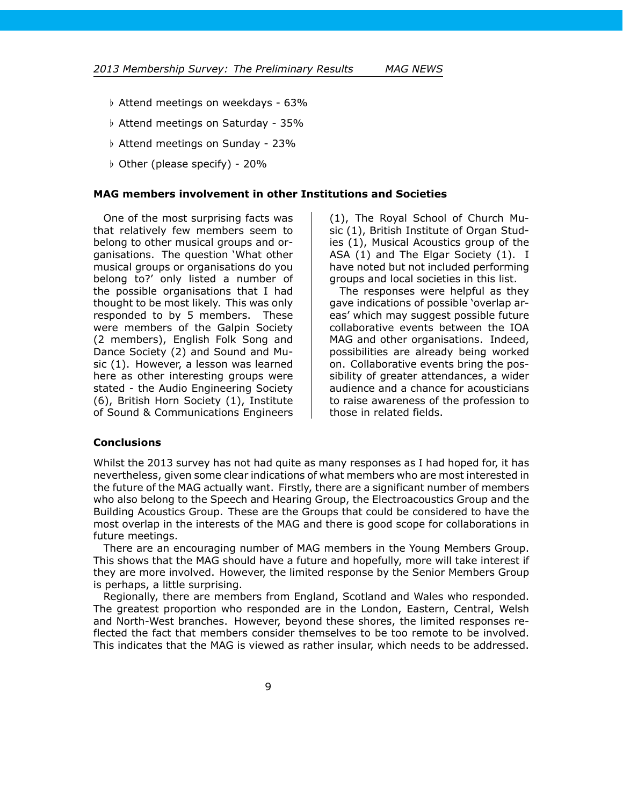- *♭* Attend meetings on weekdays 63%
- *♭* Attend meetings on Saturday 35%
- *♭* Attend meetings on Sunday 23%
- *♭* Other (please specify) 20%

#### **MAG members involvement in other Institutions and Societies**

One of the most surprising facts was that relatively few members seem to belong to other musical groups and organisations. The question 'What other musical groups or organisations do you belong to?' only listed a number of the possible organisations that I had thought to be most likely. This was only responded to by 5 members. These were members of the Galpin Society (2 members), English Folk Song and Dance Society (2) and Sound and Music (1). However, a lesson was learned here as other interesting groups were stated - the Audio Engineering Society (6), British Horn Society (1), Institute of Sound & Communications Engineers

(1), The Royal School of Church Music (1), British Institute of Organ Studies (1), Musical Acoustics group of the ASA (1) and The Elgar Society (1). I have noted but not included performing groups and local societies in this list.

The responses were helpful as they gave indications of possible 'overlap areas' which may suggest possible future collaborative events between the IOA MAG and other organisations. Indeed, possibilities are already being worked on. Collaborative events bring the possibility of greater attendances, a wider audience and a chance for acousticians to raise awareness of the profession to those in related fields.

#### **Conclusions**

Whilst the 2013 survey has not had quite as many responses as I had hoped for, it has nevertheless, given some clear indications of what members who are most interested in the future of the MAG actually want. Firstly, there are a significant number of members who also belong to the Speech and Hearing Group, the Electroacoustics Group and the Building Acoustics Group. These are the Groups that could be considered to have the most overlap in the interests of the MAG and there is good scope for collaborations in future meetings.

There are an encouraging number of MAG members in the Young Members Group. This shows that the MAG should have a future and hopefully, more will take interest if they are more involved. However, the limited response by the Senior Members Group is perhaps, a little surprising.

Regionally, there are members from England, Scotland and Wales who responded. The greatest proportion who responded are in the London, Eastern, Central, Welsh and North-West branches. However, beyond these shores, the limited responses reflected the fact that members consider themselves to be too remote to be involved. This indicates that the MAG is viewed as rather insular, which needs to be addressed.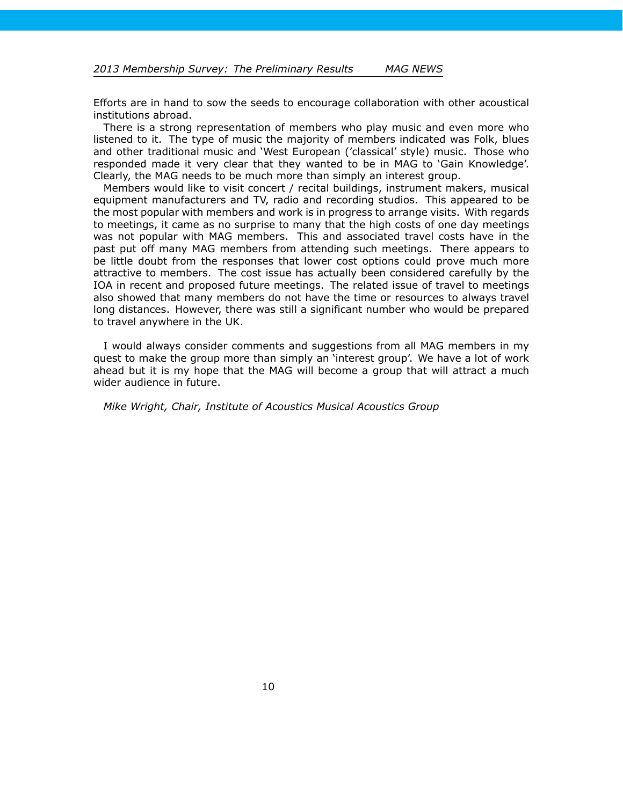Efforts are in hand to sow the seeds to encourage collaboration with other acoustical institutions abroad.

There is a strong representation of members who play music and even more who listened to it. The type of music the majority of members indicated was Folk, blues and other traditional music and 'West European ('classical' style) music. Those who responded made it very clear that they wanted to be in MAG to 'Gain Knowledge'. Clearly, the MAG needs to be much more than simply an interest group.

Members would like to visit concert / recital buildings, instrument makers, musical equipment manufacturers and TV, radio and recording studios. This appeared to be the most popular with members and work is in progress to arrange visits. With regards to meetings, it came as no surprise to many that the high costs of one day meetings was not popular with MAG members. This and associated travel costs have in the past put off many MAG members from attending such meetings. There appears to be little doubt from the responses that lower cost options could prove much more attractive to members. The cost issue has actually been considered carefully by the IOA in recent and proposed future meetings. The related issue of travel to meetings also showed that many members do not have the time or resources to always travel long distances. However, there was still a significant number who would be prepared to travel anywhere in the UK.

I would always consider comments and suggestions from all MAG members in my quest to make the group more than simply an 'interest group'. We have a lot of work ahead but it is my hope that the MAG will become a group that will attract a much wider audience in future.

*Mike Wright, Chair, Institute of Acoustics Musical Acoustics Group*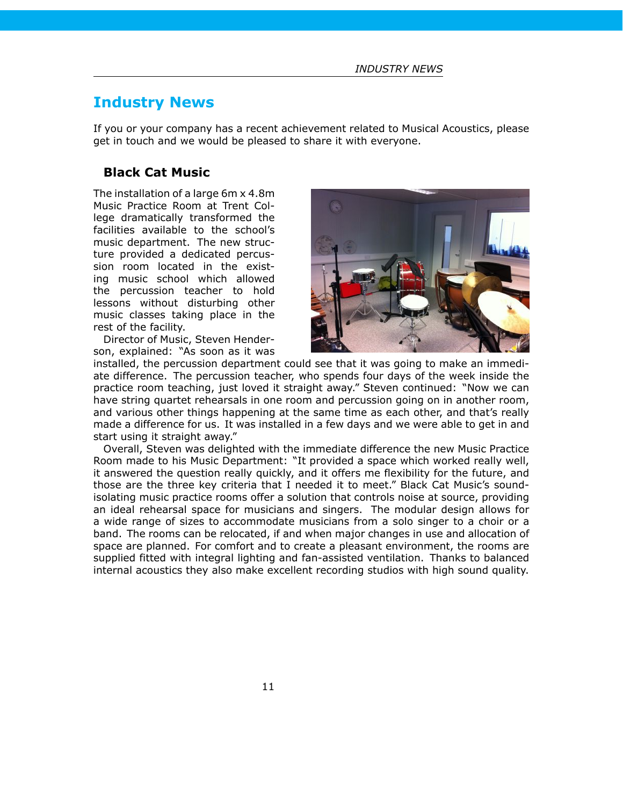# <span id="page-10-0"></span>**Industry News**

If you or your company has a recent achievement related to Musical Acoustics, please get in touch and we would be pleased to share it with everyone.

## **Black Cat Music**

The installation of a large 6m x 4.8m Music Practice Room at Trent College dramatically transformed the facilities available to the school's music department. The new structure provided a dedicated percussion room located in the existing music school which allowed the percussion teacher to hold lessons without disturbing other music classes taking place in the rest of the facility.

Director of Music, Steven Henderson, explained: "As soon as it was



installed, the percussion department could see that it was going to make an immediate difference. The percussion teacher, who spends four days of the week inside the practice room teaching, just loved it straight away." Steven continued: "Now we can have string quartet rehearsals in one room and percussion going on in another room, and various other things happening at the same time as each other, and that's really made a difference for us. It was installed in a few days and we were able to get in and start using it straight away."

Overall, Steven was delighted with the immediate difference the new Music Practice Room made to his Music Department: "It provided a space which worked really well, it answered the question really quickly, and it offers me flexibility for the future, and those are the three key criteria that I needed it to meet." Black Cat Music's soundisolating music practice rooms offer a solution that controls noise at source, providing an ideal rehearsal space for musicians and singers. The modular design allows for a wide range of sizes to accommodate musicians from a solo singer to a choir or a band. The rooms can be relocated, if and when major changes in use and allocation of space are planned. For comfort and to create a pleasant environment, the rooms are supplied fitted with integral lighting and fan-assisted ventilation. Thanks to balanced internal acoustics they also make excellent recording studios with high sound quality.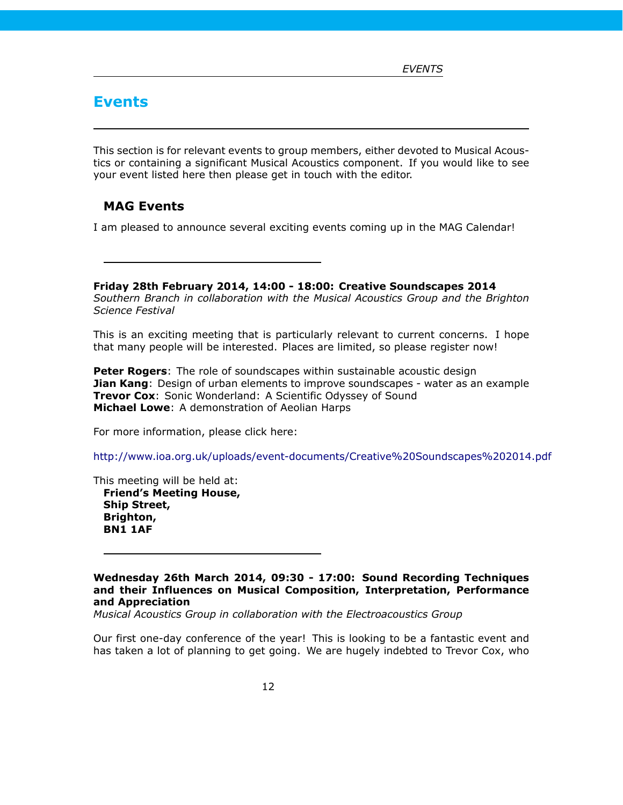# <span id="page-11-0"></span>**Events**

This section is for relevant events to group members, either devoted to Musical Acoustics or containing a significant Musical Acoustics component. If you would like to see your event listed here then please get in touch with the editor.

## <span id="page-11-1"></span>**MAG Events**

I am pleased to announce several exciting events coming up in the MAG Calendar!

**Friday 28th February 2014, 14:00 - 18:00: Creative Soundscapes 2014** *Southern Branch in collaboration with the Musical Acoustics Group and the Brighton Science Festival*

This is an exciting meeting that is particularly relevant to current concerns. I hope that many people will be interested. Places are limited, so please register now!

**Peter Rogers**: The role of soundscapes within sustainable acoustic design **Jian Kang**: Design of urban elements to improve soundscapes - water as an example **Trevor Cox**: Sonic Wonderland: A Scientific Odyssey of Sound **Michael Lowe**: A demonstration of Aeolian Harps

For more information, please click here:

<http://www.ioa.org.uk/uploads/event-documents/Creative%20Soundscapes%202014.pdf>

This meeting will be held at: **Friend's Meeting House, Ship Street,**

**Brighton, BN1 1AF**

**Wednesday 26th March 2014, 09:30 - 17:00: Sound Recording Techniques and their Influences on Musical Composition, Interpretation, Performance and Appreciation**

*Musical Acoustics Group in collaboration with the Electroacoustics Group*

Our first one-day conference of the year! This is looking to be a fantastic event and has taken a lot of planning to get going. We are hugely indebted to Trevor Cox, who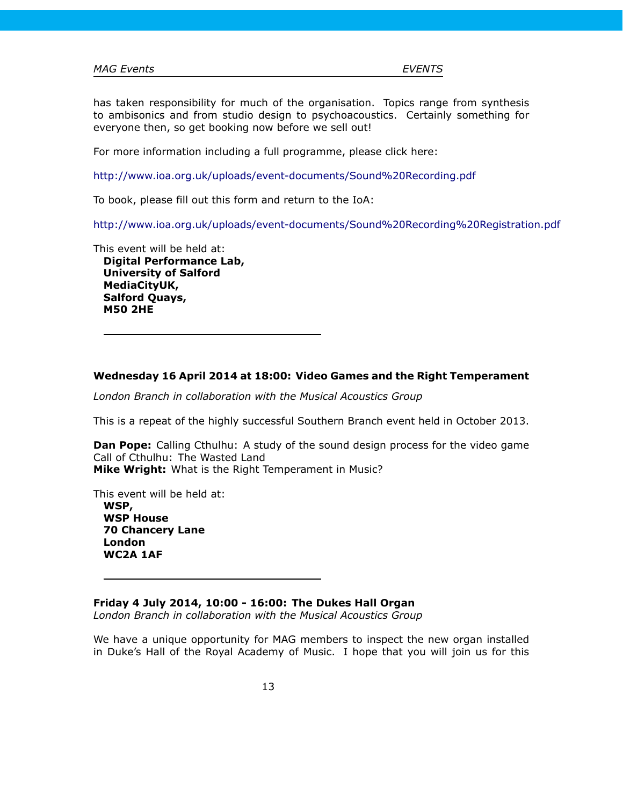has taken responsibility for much of the organisation. Topics range from synthesis to ambisonics and from studio design to psychoacoustics. Certainly something for everyone then, so get booking now before we sell out!

For more information including a full programme, please click here:

<http://www.ioa.org.uk/uploads/event-documents/Sound%20Recording.pdf>

To book, please fill out this form and return to the IoA:

<http://www.ioa.org.uk/uploads/event-documents/Sound%20Recording%20Registration.pdf>

This event will be held at:

**Digital Performance Lab, University of Salford MediaCityUK, Salford Quays, M50 2HE**

## **Wednesday 16 April 2014 at 18:00: Video Games and the Right Temperament**

*London Branch in collaboration with the Musical Acoustics Group*

This is a repeat of the highly successful Southern Branch event held in October 2013.

**Dan Pope:** Calling Cthulhu: A study of the sound design process for the video game Call of Cthulhu: The Wasted Land **Mike Wright:** What is the Right Temperament in Music?

This event will be held at:

**WSP, WSP House 70 Chancery Lane London WC2A 1AF**

**Friday 4 July 2014, 10:00 - 16:00: The Dukes Hall Organ**

*London Branch in collaboration with the Musical Acoustics Group*

We have a unique opportunity for MAG members to inspect the new organ installed in Duke's Hall of the Royal Academy of Music. I hope that you will join us for this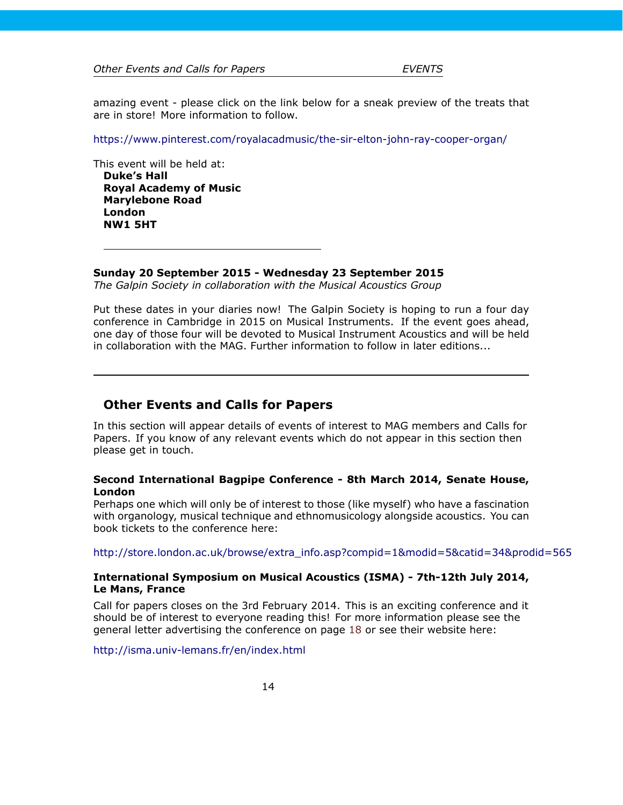*Other Events and Calls for Papers EVENTS*

amazing event - please click on the link below for a sneak preview of the treats that are in store! More information to follow.

<https://www.pinterest.com/royalacadmusic/the-sir-elton-john-ray-cooper-organ/>

This event will be held at: **Duke's Hall Royal Academy of Music Marylebone Road London NW1 5HT**

**Sunday 20 September 2015 - Wednesday 23 September 2015**

*The Galpin Society in collaboration with the Musical Acoustics Group*

Put these dates in your diaries now! The Galpin Society is hoping to run a four day conference in Cambridge in 2015 on Musical Instruments. If the event goes ahead, one day of those four will be devoted to Musical Instrument Acoustics and will be held in collaboration with the MAG. Further information to follow in later editions...

## <span id="page-13-0"></span>**Other Events and Calls for Papers**

In this section will appear details of events of interest to MAG members and Calls for Papers. If you know of any relevant events which do not appear in this section then please get in touch.

## **Second International Bagpipe Conference - 8th March 2014, Senate House, London**

Perhaps one which will only be of interest to those (like myself) who have a fascination with organology, musical technique and ethnomusicology alongside acoustics. You can book tickets to the conference here:

[http://store.london.ac.uk/browse/extra\\_info.asp?compid=1&modid=5&catid=34&prodid=565](http://store.london.ac.uk/browse/extra_info.asp?compid=1&modid=5&catid=34&prodid=565)

## **International Symposium on Musical Acoustics (ISMA) - 7th-12th July 2014, Le Mans, France**

Call for papers closes on the 3rd February 2014. This is an exciting conference and it should be of interest to everyone reading this! For more information please see the general letter advertising the conference on page [18](#page-17-0) or see their website here:

<http://isma.univ-lemans.fr/en/index.html>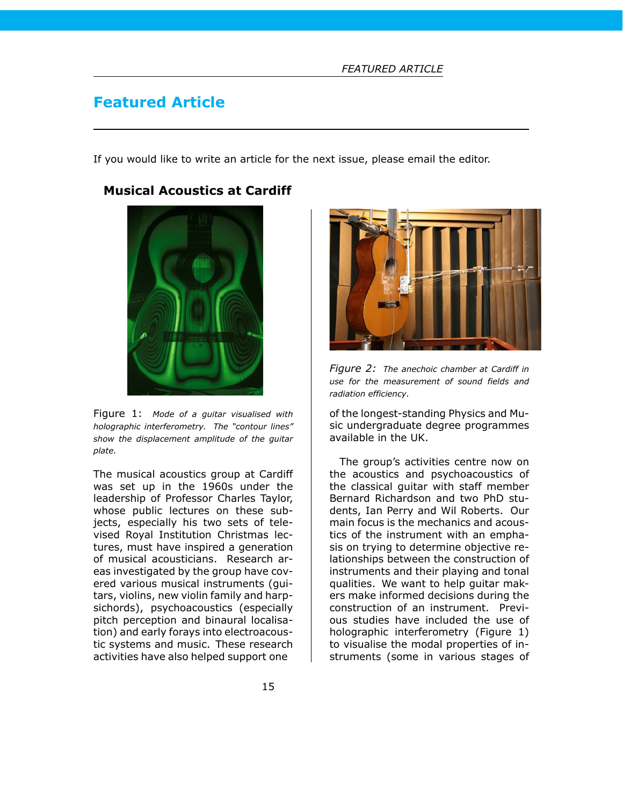# <span id="page-14-0"></span>**Featured Article**

If you would like to write an article for the next issue, please email the editor.

## <span id="page-14-1"></span>**Musical Acoustics at Cardiff**



Figure 1: *Mode of a guitar visualised with holographic interferometry. The "contour lines" show the displacement amplitude of the guitar plate.*

The musical acoustics group at Cardiff was set up in the 1960s under the leadership of Professor Charles Taylor, whose public lectures on these subjects, especially his two sets of televised Royal Institution Christmas lectures, must have inspired a generation of musical acousticians. Research areas investigated by the group have covered various musical instruments (guitars, violins, new violin family and harpsichords), psychoacoustics (especially pitch perception and binaural localisation) and early forays into electroacoustic systems and music. These research activities have also helped support one



*Figure 2: The anechoic chamber at Cardiff in use for the measurement of sound fields and radiation efficiency.*

of the longest-standing Physics and Music undergraduate degree programmes available in the UK.

The group's activities centre now on the acoustics and psychoacoustics of the classical guitar with staff member Bernard Richardson and two PhD students, Ian Perry and Wil Roberts. Our main focus is the mechanics and acoustics of the instrument with an emphasis on trying to determine objective relationships between the construction of instruments and their playing and tonal qualities. We want to help guitar makers make informed decisions during the construction of an instrument. Previous studies have included the use of holographic interferometry (Figure 1) to visualise the modal properties of instruments (some in various stages of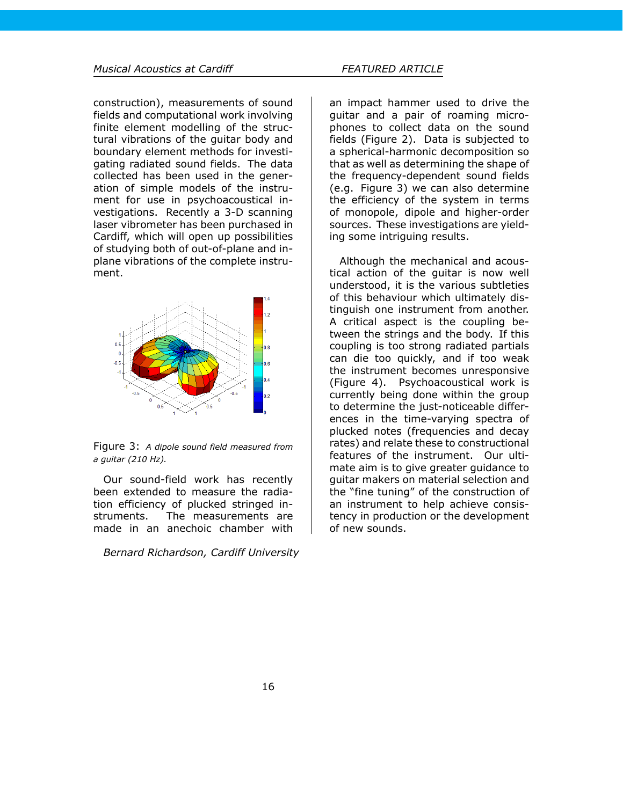construction), measurements of sound fields and computational work involving finite element modelling of the structural vibrations of the guitar body and boundary element methods for investigating radiated sound fields. The data collected has been used in the generation of simple models of the instrument for use in psychoacoustical investigations. Recently a 3-D scanning laser vibrometer has been purchased in Cardiff, which will open up possibilities of studying both of out-of-plane and inplane vibrations of the complete instrument.



Figure 3: *A dipole sound field measured from a guitar (210 Hz).*

Our sound-field work has recently been extended to measure the radiation efficiency of plucked stringed instruments. The measurements are made in an anechoic chamber with

*Bernard Richardson, Cardiff University*

an impact hammer used to drive the guitar and a pair of roaming microphones to collect data on the sound fields (Figure 2). Data is subjected to a spherical-harmonic decomposition so that as well as determining the shape of the frequency-dependent sound fields (e.g. Figure 3) we can also determine the efficiency of the system in terms of monopole, dipole and higher-order sources. These investigations are yielding some intriguing results.

Although the mechanical and acoustical action of the guitar is now well understood, it is the various subtleties of this behaviour which ultimately distinguish one instrument from another. A critical aspect is the coupling between the strings and the body. If this coupling is too strong radiated partials can die too quickly, and if too weak the instrument becomes unresponsive (Figure 4). Psychoacoustical work is currently being done within the group to determine the just-noticeable differences in the time-varying spectra of plucked notes (frequencies and decay rates) and relate these to constructional features of the instrument. Our ultimate aim is to give greater guidance to guitar makers on material selection and the "fine tuning" of the construction of an instrument to help achieve consistency in production or the development of new sounds.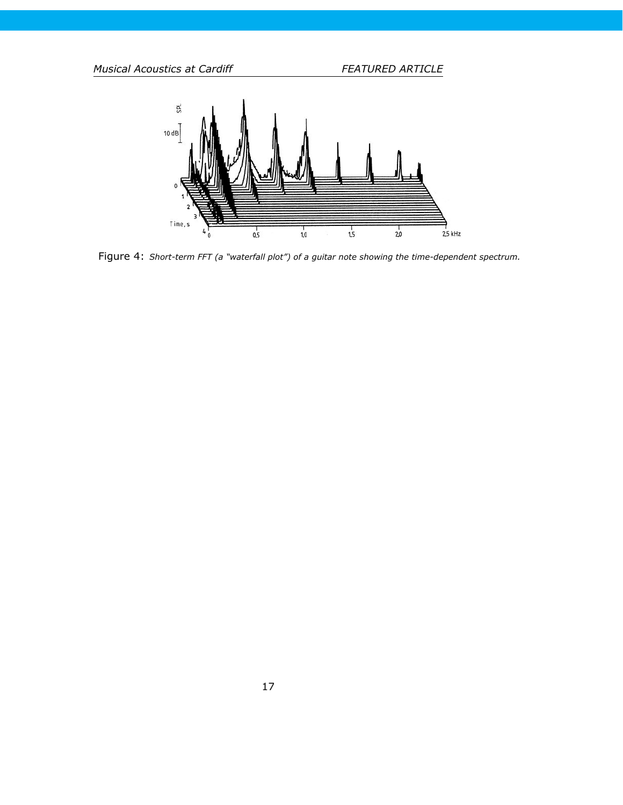*Musical Acoustics at Cardiff FEATURED ARTICLE*



Figure 4: *Short-term FFT (a "waterfall plot") of a guitar note showing the time-dependent spectrum.*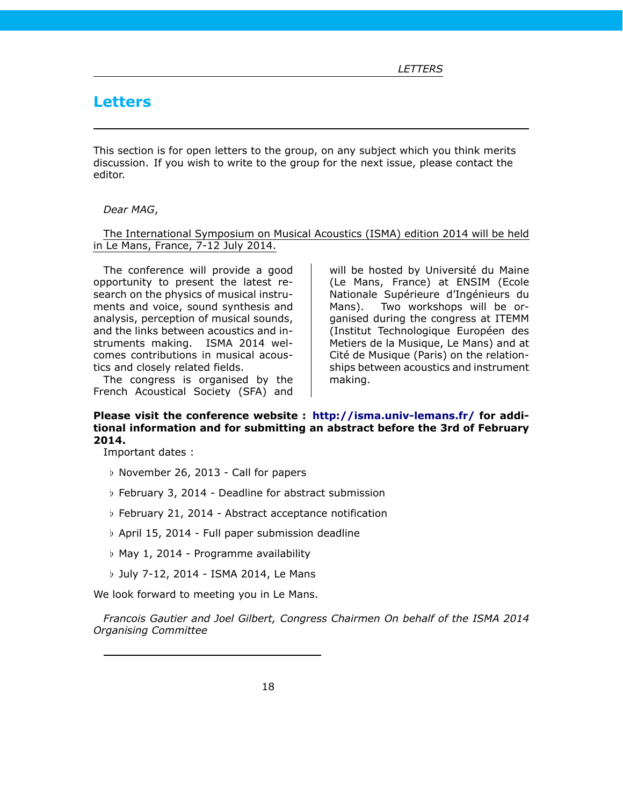# <span id="page-17-0"></span>**Letters**

This section is for open letters to the group, on any subject which you think merits discussion. If you wish to write to the group for the next issue, please contact the editor.

### *Dear MAG*,

The International Symposium on Musical Acoustics (ISMA) edition 2014 will be held in Le Mans, France, 7-12 July 2014.

The conference will provide a good opportunity to present the latest research on the physics of musical instruments and voice, sound synthesis and analysis, perception of musical sounds, and the links between acoustics and instruments making. ISMA 2014 welcomes contributions in musical acoustics and closely related fields.

The congress is organised by the French Acoustical Society (SFA) and

will be hosted by Université du Maine (Le Mans, France) at ENSIM (Ecole Nationale Supérieure d'Ingénieurs du Mans). Two workshops will be organised during the congress at ITEMM (Institut Technologique Européen des Metiers de la Musique, Le Mans) and at Cité de Musique (Paris) on the relationships between acoustics and instrument making.

## **Please visit the conference website : <http://isma.univ-lemans.fr/> for additional information and for submitting an abstract before the 3rd of February 2014.**

Important dates :

- *♭* November 26, 2013 Call for papers
- *♭* February 3, 2014 Deadline for abstract submission
- *♭* February 21, 2014 Abstract acceptance notification
- *♭* April 15, 2014 Full paper submission deadline
- *♭* May 1, 2014 Programme availability
- *♭* July 7-12, 2014 ISMA 2014, Le Mans

We look forward to meeting you in Le Mans.

*Francois Gautier and Joel Gilbert, Congress Chairmen On behalf of the ISMA 2014 Organising Committee*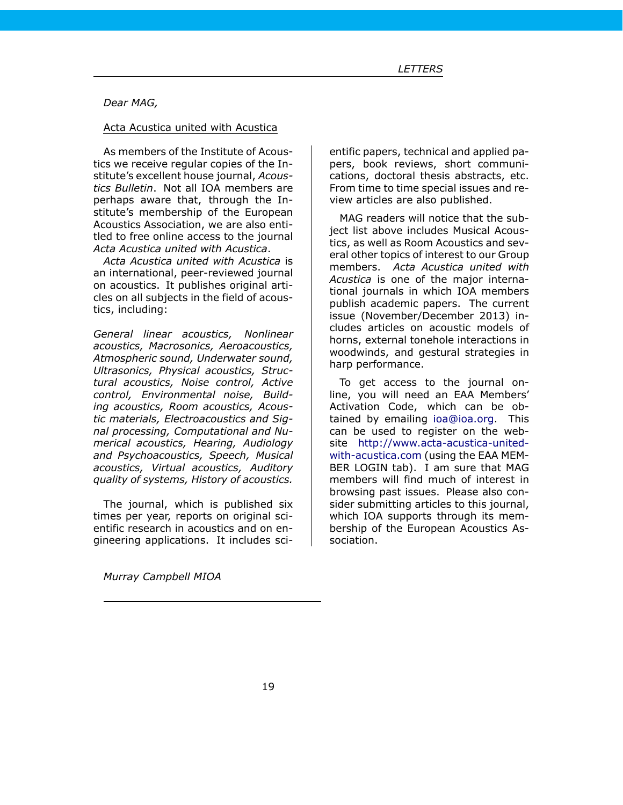## *Dear MAG,*

## Acta Acustica united with Acustica

As members of the Institute of Acoustics we receive regular copies of the Institute's excellent house journal, *Acoustics Bulletin*. Not all IOA members are perhaps aware that, through the Institute's membership of the European Acoustics Association, we are also entitled to free online access to the journal *Acta Acustica united with Acustica*.

*Acta Acustica united with Acustica* is an international, peer-reviewed journal on acoustics. It publishes original articles on all subjects in the field of acoustics, including:

*General linear acoustics, Nonlinear acoustics, Macrosonics, Aeroacoustics, Atmospheric sound, Underwater sound, Ultrasonics, Physical acoustics, Structural acoustics, Noise control, Active control, Environmental noise, Building acoustics, Room acoustics, Acoustic materials, Electroacoustics and Signal processing, Computational and Numerical acoustics, Hearing, Audiology and Psychoacoustics, Speech, Musical acoustics, Virtual acoustics, Auditory quality of systems, History of acoustics.*

The journal, which is published six times per year, reports on original scientific research in acoustics and on engineering applications. It includes scientific papers, technical and applied papers, book reviews, short communications, doctoral thesis abstracts, etc. From time to time special issues and review articles are also published.

MAG readers will notice that the subject list above includes Musical Acoustics, as well as Room Acoustics and several other topics of interest to our Group members. *Acta Acustica united with Acustica* is one of the major international journals in which IOA members publish academic papers. The current issue (November/December 2013) includes articles on acoustic models of horns, external tonehole interactions in woodwinds, and gestural strategies in harp performance.

To get access to the journal online, you will need an EAA Members' Activation Code, which can be obtained by emailing [ioa@ioa.org.](mailto:ioa@ioa.org) This can be used to register on the website [http://www.acta-acustica-united](http://www.acta-acustica-united-with-acustica.com)[with-acustica.com](http://www.acta-acustica-united-with-acustica.com) (using the EAA MEM-BER LOGIN tab). I am sure that MAG members will find much of interest in browsing past issues. Please also consider submitting articles to this journal, which IOA supports through its membership of the European Acoustics Association.

*Murray Campbell MIOA*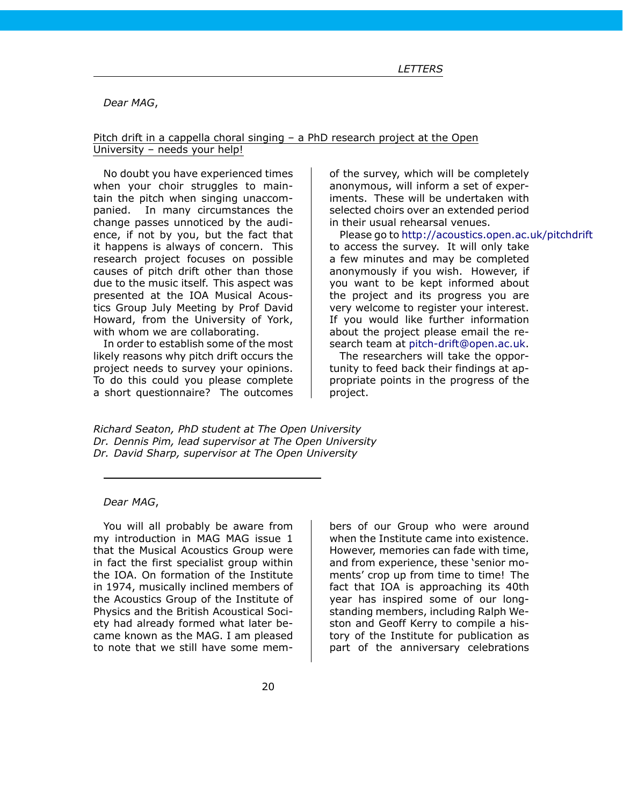*Dear MAG*,

### Pitch drift in a cappella choral singing – a PhD research project at the Open University – needs your help!

No doubt you have experienced times when your choir struggles to maintain the pitch when singing unaccompanied. In many circumstances the change passes unnoticed by the audience, if not by you, but the fact that it happens is always of concern. This research project focuses on possible causes of pitch drift other than those due to the music itself. This aspect was presented at the IOA Musical Acoustics Group July Meeting by Prof David Howard, from the University of York, with whom we are collaborating.

In order to establish some of the most likely reasons why pitch drift occurs the project needs to survey your opinions. To do this could you please complete a short questionnaire? The outcomes

of the survey, which will be completely anonymous, will inform a set of experiments. These will be undertaken with selected choirs over an extended period in their usual rehearsal venues.

Please go to <http://acoustics.open.ac.uk/pitchdrift> to access the survey. It will only take a few minutes and may be completed anonymously if you wish. However, if you want to be kept informed about the project and its progress you are very welcome to register your interest. If you would like further information about the project please email the research team at [pitch-drift@open.ac.uk.](mailto:pitch-drift@open.ac.uk)

The researchers will take the opportunity to feed back their findings at appropriate points in the progress of the project.

*Richard Seaton, PhD student at The Open University Dr. Dennis Pim, lead supervisor at The Open University Dr. David Sharp, supervisor at The Open University*

## *Dear MAG*,

You will all probably be aware from my introduction in MAG MAG issue 1 that the Musical Acoustics Group were in fact the first specialist group within the IOA. On formation of the Institute in 1974, musically inclined members of the Acoustics Group of the Institute of Physics and the British Acoustical Society had already formed what later became known as the MAG. I am pleased to note that we still have some mem-

bers of our Group who were around when the Institute came into existence. However, memories can fade with time, and from experience, these 'senior moments' crop up from time to time! The fact that IOA is approaching its 40th year has inspired some of our longstanding members, including Ralph Weston and Geoff Kerry to compile a history of the Institute for publication as part of the anniversary celebrations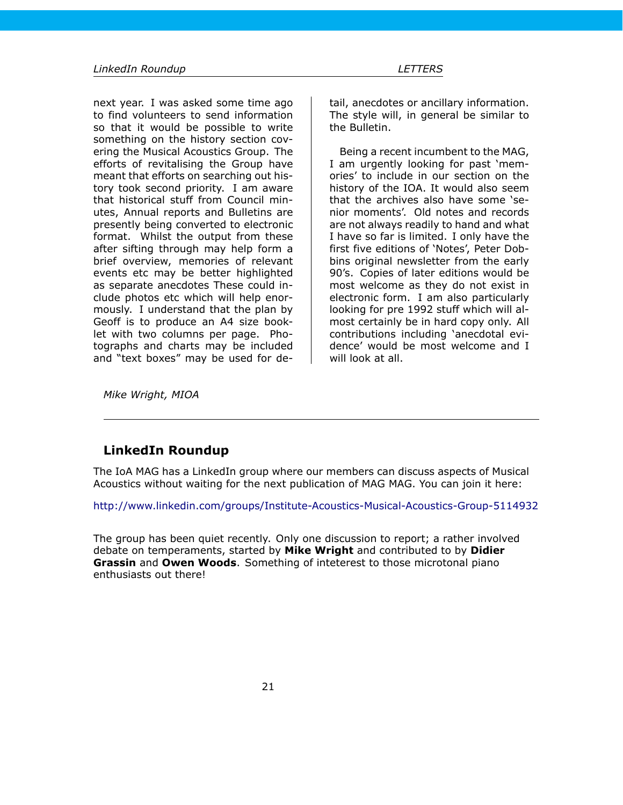next year. I was asked some time ago to find volunteers to send information so that it would be possible to write something on the history section covering the Musical Acoustics Group. The efforts of revitalising the Group have meant that efforts on searching out history took second priority. I am aware that historical stuff from Council minutes, Annual reports and Bulletins are presently being converted to electronic format. Whilst the output from these after sifting through may help form a brief overview, memories of relevant events etc may be better highlighted as separate anecdotes These could include photos etc which will help enormously. I understand that the plan by Geoff is to produce an A4 size booklet with two columns per page. Photographs and charts may be included and "text boxes" may be used for de-

tail, anecdotes or ancillary information. The style will, in general be similar to the Bulletin.

Being a recent incumbent to the MAG, I am urgently looking for past 'memories' to include in our section on the history of the IOA. It would also seem that the archives also have some 'senior moments'. Old notes and records are not always readily to hand and what I have so far is limited. I only have the first five editions of 'Notes', Peter Dobbins original newsletter from the early 90's. Copies of later editions would be most welcome as they do not exist in electronic form. I am also particularly looking for pre 1992 stuff which will almost certainly be in hard copy only. All contributions including 'anecdotal evidence' would be most welcome and I will look at all.

*Mike Wright, MIOA*

## <span id="page-20-0"></span>**LinkedIn Roundup**

The IoA MAG has a LinkedIn group where our members can discuss aspects of Musical Acoustics without waiting for the next publication of MAG MAG. You can join it here:

<http://www.linkedin.com/groups/Institute-Acoustics-Musical-Acoustics-Group-5114932>

The group has been quiet recently. Only one discussion to report; a rather involved debate on temperaments, started by **Mike Wright** and contributed to by **Didier Grassin** and **Owen Woods**. Something of inteterest to those microtonal piano enthusiasts out there!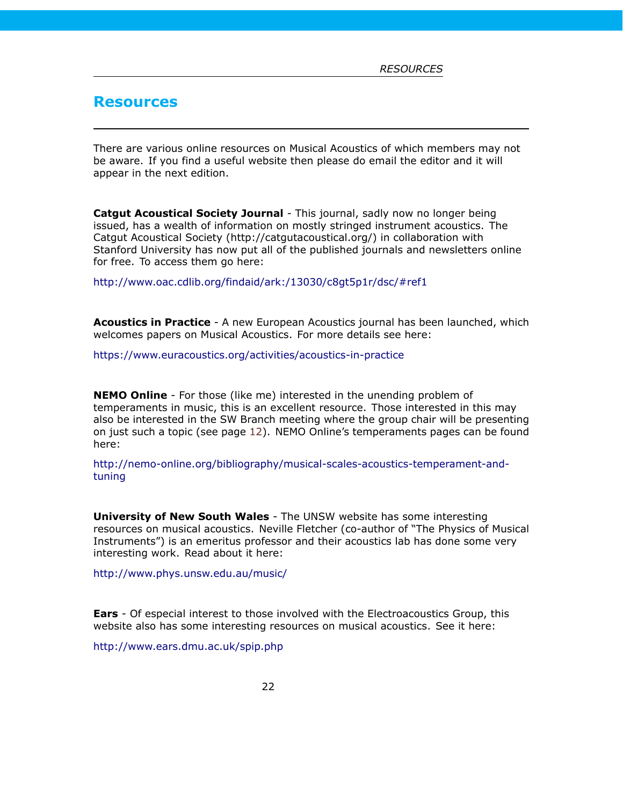## <span id="page-21-0"></span>**Resources**

There are various online resources on Musical Acoustics of which members may not be aware. If you find a useful website then please do email the editor and it will appear in the next edition.

**Catgut Acoustical Society Journal** - This journal, sadly now no longer being issued, has a wealth of information on mostly stringed instrument acoustics. The Catgut Acoustical Society (http://catgutacoustical.org/) in collaboration with Stanford University has now put all of the published journals and newsletters online for free. To access them go here:

<http://www.oac.cdlib.org/findaid/ark:/13030/c8gt5p1r/dsc/#ref1>

**Acoustics in Practice** - A new European Acoustics journal has been launched, which welcomes papers on Musical Acoustics. For more details see here:

<https://www.euracoustics.org/activities/acoustics-in-practice>

**NEMO Online** - For those (like me) interested in the unending problem of temperaments in music, this is an excellent resource. Those interested in this may also be interested in the SW Branch meeting where the group chair will be presenting on just such a topic (see page [12\)](#page-11-1). NEMO Online's temperaments pages can be found here:

[http://nemo-online.org/bibliography/musical-scales-acoustics-temperament-and](http://nemo-online.org/bibliography/musical-scales-acoustics-temperament-and-tuning)[tuning](http://nemo-online.org/bibliography/musical-scales-acoustics-temperament-and-tuning)

**University of New South Wales** - The UNSW website has some interesting resources on musical acoustics. Neville Fletcher (co-author of "The Physics of Musical Instruments") is an emeritus professor and their acoustics lab has done some very interesting work. Read about it here:

<http://www.phys.unsw.edu.au/music/>

**Ears** - Of especial interest to those involved with the Electroacoustics Group, this website also has some interesting resources on musical acoustics. See it here:

<http://www.ears.dmu.ac.uk/spip.php>